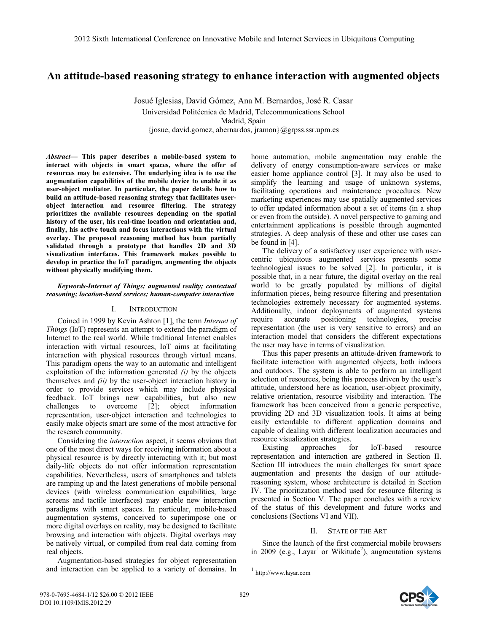# **An attitude-based reasoning strategy to enhance interaction with augmented objects**

Josué Iglesias, David Gómez, Ana M. Bernardos, José R. Casar Universidad Politécnica de Madrid, Telecommunications School Madrid, Spain {josue, david.gomez, abernardos, jramon}@grpss.ssr.upm.es

*Abstract***— This paper describes a mobile-based system to interact with objects in smart spaces, where the offer of resources may be extensive. The underlying idea is to use the augmentation capabilities of the mobile device to enable it as user-object mediator. In particular, the paper details how to build an attitude-based reasoning strategy that facilitates userobject interaction and resource filtering. The strategy prioritizes the available resources depending on the spatial history of the user, his real-time location and orientation and, finally, his active touch and focus interactions with the virtual overlay. The proposed reasoning method has been partially validated through a prototype that handles 2D and 3D visualization interfaces. This framework makes possible to develop in practice the IoT paradigm, augmenting the objects without physically modifying them.** 

# *Keywords-Internet of Things; augmented reality; contextual reasoning; location-based services; human-computer interaction*

## I. INTRODUCTION

Coined in 1999 by Kevin Ashton [1], the term *Internet of Things* (IoT) represents an attempt to extend the paradigm of Internet to the real world. While traditional Internet enables interaction with virtual resources, IoT aims at facilitating interaction with physical resources through virtual means. This paradigm opens the way to an automatic and intelligent exploitation of the information generated *(i)* by the objects themselves and *(ii)* by the user-object interaction history in order to provide services which may include physical feedback. IoT brings new capabilities, but also new challenges to overcome [2]; object information representation, user-object interaction and technologies to easily make objects smart are some of the most attractive for the research community.

Considering the *interaction* aspect, it seems obvious that one of the most direct ways for receiving information about a physical resource is by directly interacting with it; but most daily-life objects do not offer information representation capabilities. Nevertheless, users of smartphones and tablets are ramping up and the latest generations of mobile personal devices (with wireless communication capabilities, large screens and tactile interfaces) may enable new interaction paradigms with smart spaces. In particular, mobile-based augmentation systems, conceived to superimpose one or more digital overlays on reality, may be designed to facilitate browsing and interaction with objects. Digital overlays may be natively virtual, or compiled from real data coming from real objects.

Augmentation-based strategies for object representation and interaction can be applied to a variety of domains. In home automation, mobile augmentation may enable the delivery of energy consumption-aware services or make easier home appliance control [3]. It may also be used to simplify the learning and usage of unknown systems, facilitating operations and maintenance procedures. New marketing experiences may use spatially augmented services to offer updated information about a set of items (in a shop or even from the outside). A novel perspective to gaming and entertainment applications is possible through augmented strategies. A deep analysis of these and other use cases can be found in [4].

The delivery of a satisfactory user experience with usercentric ubiquitous augmented services presents some technological issues to be solved [2]. In particular, it is possible that, in a near future, the digital overlay on the real world to be greatly populated by millions of digital information pieces, being resource filtering and presentation technologies extremely necessary for augmented systems. Additionally, indoor deployments of augmented systems require accurate positioning technologies, precise representation (the user is very sensitive to errors) and an interaction model that considers the different expectations the user may have in terms of visualization.

Thus this paper presents an attitude-driven framework to facilitate interaction with augmented objects, both indoors and outdoors. The system is able to perform an intelligent selection of resources, being this process driven by the user's attitude, understood here as location, user-object proximity, relative orientation, resource visibility and interaction. The framework has been conceived from a generic perspective, providing 2D and 3D visualization tools. It aims at being easily extendable to different application domains and capable of dealing with different localization accuracies and resource visualization strategies.

Existing approaches for IoT-based resource representation and interaction are gathered in Section II. Section III introduces the main challenges for smart space augmentation and presents the design of our attitudereasoning system, whose architecture is detailed in Section IV. The prioritization method used for resource filtering is presented in Section V. The paper concludes with a review of the status of this development and future works and conclusions (Sections VI and VII).

# II. STATE OF THE ART

Since the launch of the first commercial mobile browsers in 2009 (e.g., Layar<sup>1</sup> or Wikitude<sup>2</sup>), augmentation systems



 <sup>1</sup> http://www.layar.com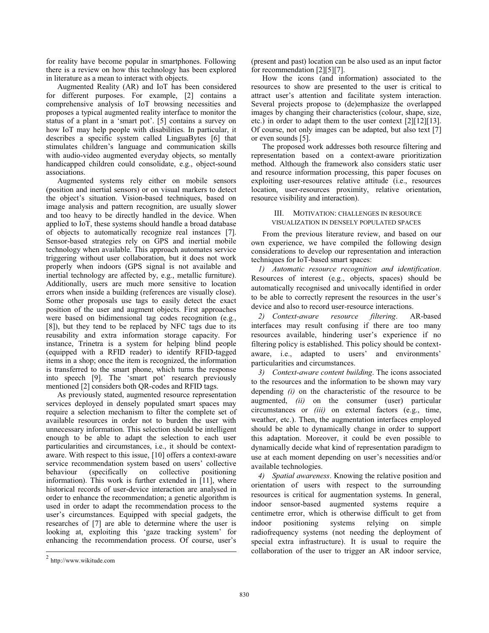for reality have become popular in smartphones. Following there is a review on how this technology has been explored in literature as a mean to interact with objects.

Augmented Reality (AR) and IoT has been considered for different purposes. For example, [2] contains a comprehensive analysis of IoT browsing necessities and proposes a typical augmented reality interface to monitor the status of a plant in a 'smart pot'. [5] contains a survey on how IoT may help people with disabilities. In particular, it describes a specific system called LinguaBytes [6] that stimulates children's language and communication skills with audio-video augmented everyday objects, so mentally handicapped children could consolidate, e.g., object-sound associations.

Augmented systems rely either on mobile sensors (position and inertial sensors) or on visual markers to detect the object's situation. Vision-based techniques, based on image analysis and pattern recognition, are usually slower and too heavy to be directly handled in the device. When applied to IoT, these systems should handle a broad database of objects to automatically recognize real instances [7]. Sensor-based strategies rely on GPS and inertial mobile technology when available. This approach automates service triggering without user collaboration, but it does not work properly when indoors (GPS signal is not available and inertial technology are affected by, e.g., metallic furniture). Additionally, users are much more sensitive to location errors when inside a building (references are visually close). Some other proposals use tags to easily detect the exact position of the user and augment objects. First approaches were based on bidimensional tag codes recognition (e.g., [8]), but they tend to be replaced by NFC tags due to its reusability and extra information storage capacity. For instance, Trinetra is a system for helping blind people (equipped with a RFID reader) to identify RFID-tagged items in a shop; once the item is recognized, the information is transferred to the smart phone, which turns the response into speech [9]. The 'smart pot' research previously mentioned [2] considers both QR-codes and RFID tags.

As previously stated, augmented resource representation services deployed in densely populated smart spaces may require a selection mechanism to filter the complete set of available resources in order not to burden the user with unnecessary information. This selection should be intelligent enough to be able to adapt the selection to each user particularities and circumstances, i.e., it should be contextaware. With respect to this issue, [10] offers a context-aware service recommendation system based on users' collective behaviour (specifically on collective positioning information). This work is further extended in [11], where historical records of user-device interaction are analysed in order to enhance the recommendation; a genetic algorithm is used in order to adapt the recommendation process to the user's circumstances. Equipped with special gadgets, the researches of [7] are able to determine where the user is looking at, exploiting this 'gaze tracking system' for enhancing the recommendation process. Of course, user's

 $\overline{a}$ 

(present and past) location can be also used as an input factor for recommendation [2][5][7].

How the icons (and information) associated to the resources to show are presented to the user is critical to attract user's attention and facilitate system interaction. Several projects propose to (de)emphasize the overlapped images by changing their characteristics (colour, shape, size, etc.) in order to adapt them to the user context [2][12][13]. Of course, not only images can be adapted, but also text [7] or even sounds [5].

The proposed work addresses both resource filtering and representation based on a context-aware prioritization method. Although the framework also considers static user and resource information processing, this paper focuses on exploiting user-resources relative attitude (i.e., resources location, user-resources proximity, relative orientation, resource visibility and interaction).

# III. MOTIVATION: CHALLENGES IN RESOURCE VISUALIZATION IN DENSELY POPULATED SPACES

From the previous literature review, and based on our own experience, we have compiled the following design considerations to develop our representation and interaction techniques for IoT-based smart spaces:

*1) Automatic resource recognition and identification*. Resources of interest (e.g., objects, spaces) should be automatically recognised and univocally identified in order to be able to correctly represent the resources in the user's device and also to record user-resource interactions.

*2) Context-aware resource filtering*. AR-based interfaces may result confusing if there are too many resources available, hindering user's experience if no filtering policy is established. This policy should be contextaware, i.e., adapted to users' and environments' particularities and circumstances.

*3) Context-aware content building*. The icons associated to the resources and the information to be shown may vary depending *(i)* on the characteristic of the resource to be augmented, *(ii)* on the consumer (user) particular circumstances or *(iii)* on external factors (e.g., time, weather, etc.). Then, the augmentation interfaces employed should be able to dynamically change in order to support this adaptation. Moreover, it could be even possible to dynamically decide what kind of representation paradigm to use at each moment depending on user's necessities and/or available technologies.

*4) Spatial awareness*. Knowing the relative position and orientation of users with respect to the surrounding resources is critical for augmentation systems. In general, indoor sensor-based augmented systems require a centimetre error, which is otherwise difficult to get from indoor positioning systems relying on simple radiofrequency systems (not needing the deployment of special extra infrastructure). It is usual to require the collaboration of the user to trigger an AR indoor service,

<sup>&</sup>lt;sup>2</sup> http://www.wikitude.com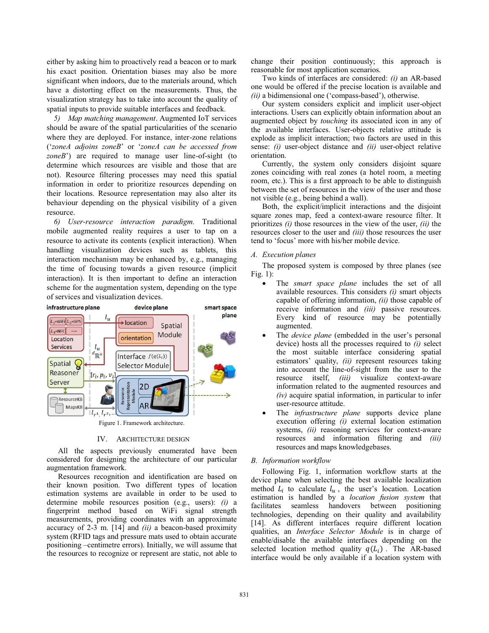either by asking him to proactively read a beacon or to mark his exact position. Orientation biases may also be more significant when indoors, due to the materials around, which have a distorting effect on the measurements. Thus, the visualization strategy has to take into account the quality of spatial inputs to provide suitable interfaces and feedback.

*5) Map matching management*. Augmented IoT services should be aware of the spatial particularities of the scenario where they are deployed. For instance, inter-zone relations ('*zoneA adjoins zoneB*' or '*zoneA can be accessed from zoneB*') are required to manage user line-of-sight (to determine which resources are visible and those that are not). Resource filtering processes may need this spatial information in order to prioritize resources depending on their locations. Resource representation may also alter its behaviour depending on the physical visibility of a given resource.

*6) User-resource interaction paradigm.* Traditional mobile augmented reality requires a user to tap on a resource to activate its contents (explicit interaction). When handling visualization devices such as tablets, this interaction mechanism may be enhanced by, e.g., managing the time of focusing towards a given resource (implicit interaction). It is then important to define an interaction scheme for the augmentation system, depending on the type of services and visualization devices.



#### IV. ARCHITECTURE DESIGN

All the aspects previously enumerated have been considered for designing the architecture of our particular augmentation framework.

Resources recognition and identification are based on their known position. Two different types of location estimation systems are available in order to be used to determine mobile resources position (e.g., users): *(i)* a fingerprint method based on WiFi signal strength measurements, providing coordinates with an approximate accuracy of 2-3 m. [14] and *(ii)* a beacon-based proximity system (RFID tags and pressure mats used to obtain accurate positioning –centimetre errors). Initially, we will assume that the resources to recognize or represent are static, not able to change their position continuously; this approach is reasonable for most application scenarios.

Two kinds of interfaces are considered: *(i)* an AR-based one would be offered if the precise location is available and *(ii)* a bidimensional one ('compass-based'), otherwise.

Our system considers explicit and implicit user-object interactions. Users can explicitly obtain information about an augmented object by *touching* its associated icon in any of the available interfaces. User-objects relative attitude is explode as implicit interaction; two factors are used in this sense: *(i)* user-object distance and *(ii)* user-object relative orientation.

Currently, the system only considers disjoint square zones coinciding with real zones (a hotel room, a meeting room, etc.). This is a first approach to be able to distinguish between the set of resources in the view of the user and those not visible (e.g., being behind a wall).

Both, the explicit/implicit interactions and the disjoint square zones map, feed a context-aware resource filter. It prioritizes *(i)* those resources in the view of the user, *(ii)* the resources closer to the user and *(iii)* those resources the user tend to 'focus' more with his/her mobile device.

#### *A. Execution planes*

The proposed system is composed by three planes (see Fig. 1):

- - The *smart space plane* includes the set of all available resources. This considers *(i)* smart objects capable of offering information, *(ii)* those capable of receive information and *(iii)* passive resources. Every kind of resource may be potentially augmented.
- $\bullet$  The *device plane* (embedded in the user's personal device) hosts all the processes required to *(i)* select the most suitable interface considering spatial estimators' quality, *(ii)* represent resources taking into account the line-of-sight from the user to the resource itself, *(iii)* visualize context-aware information related to the augmented resources and *(iv)* acquire spatial information, in particular to infer user-resource attitude.
- - The *infrastructure plane* supports device plane execution offering *(i)* external location estimation systems, *(ii)* reasoning services for context-aware resources and information filtering and *(iii)* resources and maps knowledgebases.

## *B. Information workflow*

Following Fig. 1, information workflow starts at the device plane when selecting the best available localization method  $L_i$  to calculate  $l_u$ , the user's location. Location estimation is handled by a *location fusion system* that facilitates seamless handovers between positioning technologies, depending on their quality and availability [14]. As different interfaces require different location qualities, an *Interface Selector Module* is in charge of enable/disable the available interfaces depending on the selected location method quality  $q(L_i)$ . The AR-based interface would be only available if a location system with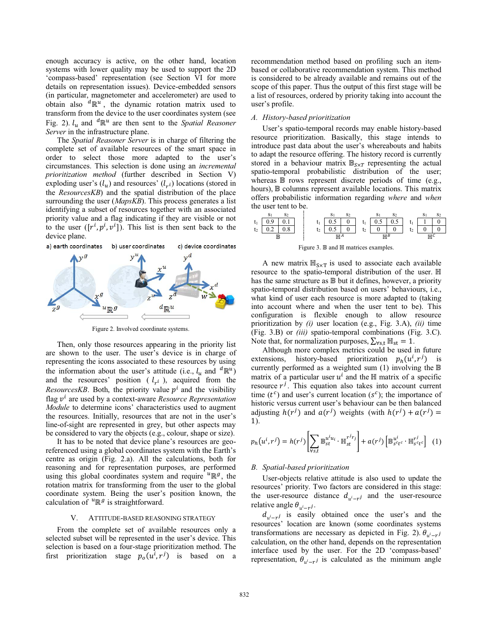enough accuracy is active, on the other hand, location systems with lower quality may be used to support the 2D 'compass-based' representation (see Section VI for more details on representation issues). Device-embedded sensors (in particular, magnetometer and accelerometer) are used to obtain also  ${}^d\mathbb{R}^u$ , the dynamic rotation matrix used to transform from the device to the user coordinates system (see Fig. 2).  $l_u$  and  $\mathrm{d} \mathbb{R}^u$  are then sent to the *Spatial Reasoner Server* in the infrastructure plane.

The *Spatial Reasoner Server* is in charge of filtering the complete set of available resources of the smart space in order to select those more adapted to the user's circumstances. This selection is done using an *incremental prioritization method* (further described in Section V) exploding user's  $(l_u)$  and resources'  $(l_{ri})$  locations (stored in the *ResourcesKB*) and the spatial distribution of the place surrounding the user (*MapsKB*). This process generates a list identifying a subset of resources together with an associated priority value and a flag indicating if they are visible or not to the user  $([r^i, p^i, v^i])$ . This list is then sent back to the device plane.



Figure 2. Involved coordinate systems.

Then, only those resources appearing in the priority list are shown to the user. The user's device is in charge of representing the icons associated to these resources by using the information about the user's attitude (i.e.,  $l_u$  and  $^d\mathbb{R}^u$ ) and the resources' position ( $l_{r}$ i), acquired from the *ResourcesKB*. Both, the priority value  $p^i$  and the visibility flag  $v^i$  are used by a context-aware *Resource Representation Module* to determine icons' characteristics used to augment the resources. Initially, resources that are not in the user's line-of-sight are represented in grey, but other aspects may be considered to vary the objects (e.g., colour, shape or size).

It has to be noted that device plane's resources are georeferenced using a global coordinates system with the Earth's centre as origin (Fig. 2.a). All the calculations, both for reasoning and for representation purposes, are performed using this global coordinates system and require  $^u \mathbb{R}^g$ , the rotation matrix for transforming from the user to the global coordinate system. Being the user's position known, the calculation of  $^u \mathbb{R}^g$  is straightforward.

## V. ATTITUDE-BASED REASONING STRATEGY

From the complete set of available resources only a selected subset will be represented in the user's device. This selection is based on a four-stage prioritization method. The first prioritization stage  $p_o(u^{\hat{i}}, r^j)$  is based on a recommendation method based on profiling such an itembased or collaborative recommendation system. This method is considered to be already available and remains out of the scope of this paper. Thus the output of this first stage will be a list of resources, ordered by priority taking into account the user's profile.

#### *A. History-based prioritization*

User's spatio-temporal records may enable history-based resource prioritization. Basically, this stage intends to introduce past data about the user's whereabouts and habits to adapt the resource offering. The history record is currently stored in a behaviour matrix  $\mathbb{B}_{S \times T}$  representing the actual spatio-temporal probabilistic distribution of the user; whereas  $\mathbb B$  rows represent discrete periods of time (e.g., hours),  $\mathbb B$  columns represent available locations. This matrix offers probabilistic information regarding *where* and *when* the user tent to be.

$$
\begin{array}{c|ccccc} t_1 & s_1 & s_2 & & \\ t_2 & 0.9 & 0.1 & & \\ t_2 & 0.2 & 0.8 & & \\ \hline & \mathbb{B} & & & \mathbb{H}^A & \end{array} \hspace{1.5cm} \begin{array}{c|ccccc} s_1 & s_2 & s_1 & s_2 & & \\ t_1 & 0.5 & 0 & & t_1 & 0.5 & 0.5 \\ t_2 & 0.5 & 0 & 0 & & t_2 & 0 & 0 \\ \hline & \mathbb{H}^A & & & \mathbb{H}^B & & \mathbb{H}^C \end{array}
$$

Figure 3. **B** and **H** matrices examples.

A new matrix  $\mathbb{H}_{S\times T}$  is used to associate each available resource to the spatio-temporal distribution of the user. ℍ has the same structure as  $\mathbb B$  but it defines, however, a priority spatio-temporal distribution based on users' behaviours, i.e., what kind of user each resource is more adapted to (taking into account where and when the user tent to be). This configuration is flexible enough to allow resource prioritization by *(i)* user location (e.g., Fig. 3.A), *(ii)* time (Fig. 3.B) or *(iii)* spatio-temporal combinations (Fig. 3.C). Note that, for normalization purposes,  $\sum_{\forall s,t} \mathbb{H}_{st} = 1$ .

Although more complex metrics could be used in future extensions, history-based prioritization  $p_h(u^i, r^j)$  is currently performed as a weighted sum  $(1)$  involving the  $\mathbb B$ matrix of a particular user  $u^i$  and the H matrix of a specific resource  $r^{j}$ . This equation also takes into account current time ( $t^c$ ) and user's current location ( $s^c$ ); the importance of historic versus current user's behaviour can be then balanced adjusting  $h(r^j)$  and  $a(r^j)$  weights (with  $h(r^j) + a(r^j) =$ 1).

$$
p_h(u^i, r^j) = h(r^j) \left[ \sum_{\forall s,t} \mathbb{B}_{st}^{u^i u_i} \cdot \mathbb{H}_{st}^{r^j r_j} \right] + a(r^j) \left[ \mathbb{B}_{s^c t^c}^{u^i} \cdot \mathbb{H}_{s^c t^c}^{r^j} \right] \tag{1}
$$

#### *B. Spatial-based prioritization*

User-objects relative attitude is also used to update the resources' priority. Two factors are considered in this stage: the user-resource distance  $d_{u^i-r}$  and the user-resource relative angle  $\theta_{\mu^i - r^j}$ .

 $d_{u^i-r}$  is easily obtained once the user's and the resources' location are known (some coordinates systems transformations are necessary as depicted in Fig. 2).  $\theta_{u^i-r^j}$ calculation, on the other hand, depends on the representation interface used by the user. For the 2D 'compass-based' representation,  $\theta_{u^i-r^j}$  is calculated as the minimum angle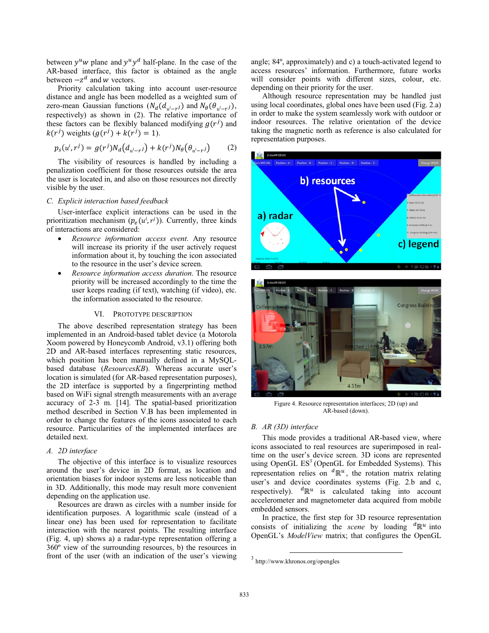between  $y^u w$  plane and  $y^u y^d$  half-plane. In the case of the AR-based interface, this factor is obtained as the angle between  $-z^d$  and w vectors.

Priority calculation taking into account user-resource distance and angle has been modelled as a weighted sum of zero-mean Gaussian functions  $(N_d(d_{u^i-r^j})$  and  $N_\theta(\theta_{u^i-r^j})$ , respectively) as shown in (2). The relative importance of these factors can be flexibly balanced modifying  $g(r^j)$  and  $k(r^{j})$  weights  $(q(r^{j}) + k(r^{j}) = 1)$ .

$$
p_s(u^i, r^j) = g(r^j) N_d\big(d_{u^i - r^j}\big) + k(r^j) N_\theta\big(\theta_{u^i - r^j}\big) \tag{2}
$$

The visibility of resources is handled by including a penalization coefficient for those resources outside the area the user is located in, and also on those resources not directly visible by the user.

# *C. Explicit interaction based feedback*

User-interface explicit interactions can be used in the prioritization mechanism  $(p_e(u^i, r^j))$ . Currently, three kinds of interactions are considered:

- $\bullet$  *Resource information access event*. Any resource will increase its priority if the user actively request information about it, by touching the icon associated to the resource in the user's device screen.
- - *Resource information access duration*. The resource priority will be increased accordingly to the time the user keeps reading (if text), watching (if video), etc. the information associated to the resource.

#### VI. PROTOTYPE DESCRIPTION

The above described representation strategy has been implemented in an Android-based tablet device (a Motorola Xoom powered by Honeycomb Android, v3.1) offering both 2D and AR-based interfaces representing static resources, which position has been manually defined in a MySQLbased database (*ResourcesKB*). Whereas accurate user's location is simulated (for AR-based representation purposes), the 2D interface is supported by a fingerprinting method based on WiFi signal strength measurements with an average accuracy of 2-3 m. [14]. The spatial-based prioritization method described in Section V.B has been implemented in order to change the features of the icons associated to each resource. Particularities of the implemented interfaces are detailed next.

#### *A. 2D interface*

The objective of this interface is to visualize resources around the user's device in 2D format, as location and orientation biases for indoor systems are less noticeable than in 3D. Additionally, this mode may result more convenient depending on the application use.

Resources are drawn as circles with a number inside for identification purposes. A logarithmic scale (instead of a linear one) has been used for representation to facilitate interaction with the nearest points. The resulting interface (Fig. 4, up) shows a) a radar-type representation offering a 360º view of the surrounding resources, b) the resources in front of the user (with an indication of the user's viewing angle; 84º, approximately) and c) a touch-activated legend to access resources' information. Furthermore, future works will consider points with different sizes, colour, etc. depending on their priority for the user.

Although resource representation may be handled just using local coordinates, global ones have been used (Fig. 2.a) in order to make the system seamlessly work with outdoor or indoor resources. The relative orientation of the device taking the magnetic north as reference is also calculated for representation purposes.



Figure 4. Resource representation interfaces; 2D (up) and AR-based (down).

# *B. AR (3D) interface*

This mode provides a traditional AR-based view, where icons associated to real resources are superimposed in realtime on the user's device screen. 3D icons are represented using OpenGL ES<sup>3</sup> (OpenGL for Embedded Systems). This representation relies on  ${}^d\mathbb{R}^u$ , the rotation matrix relating user's and device coordinates systems (Fig. 2.b and c, respectively).  ${}^d\mathbb{R}^u$  is calculated taking into account accelerometer and magnetometer data acquired from mobile embedded sensors.

In practice, the first step for 3D resource representation consists of initializing the *scene* by loading  $^d\mathbb{R}^u$  into OpenGL's *ModelView* matrix; that configures the OpenGL

 <sup>3</sup> http://www.khronos.org/opengles